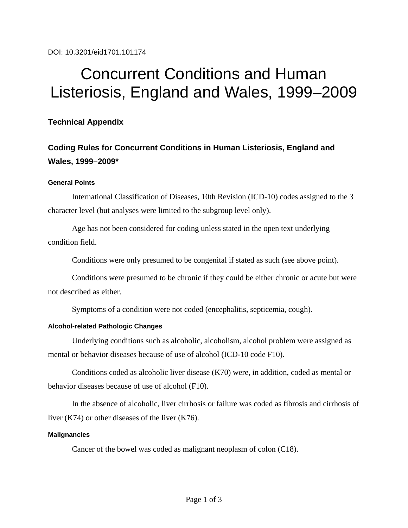DOI: 10.3201/eid1701.101174

# Concurrent Conditions and Human Listeriosis, England and Wales, 1999–2009

## **Technical Appendix**

# **Coding Rules for Concurrent Conditions in Human Listeriosis, England and Wales, 1999–2009\***

#### **General Points**

International Classification of Diseases, 10th Revision (ICD-10) codes assigned to the 3 character level (but analyses were limited to the subgroup level only).

Age has not been considered for coding unless stated in the open text underlying condition field.

Conditions were only presumed to be congenital if stated as such (see above point).

Conditions were presumed to be chronic if they could be either chronic or acute but were not described as either.

Symptoms of a condition were not coded (encephalitis, septicemia, cough).

#### **Alcohol-related Pathologic Changes**

Underlying conditions such as alcoholic, alcoholism, alcohol problem were assigned as mental or behavior diseases because of use of alcohol (ICD-10 code F10).

Conditions coded as alcoholic liver disease (K70) were, in addition, coded as mental or behavior diseases because of use of alcohol (F10).

In the absence of alcoholic, liver cirrhosis or failure was coded as fibrosis and cirrhosis of liver (K74) or other diseases of the liver (K76).

#### **Malignancies**

Cancer of the bowel was coded as malignant neoplasm of colon (C18).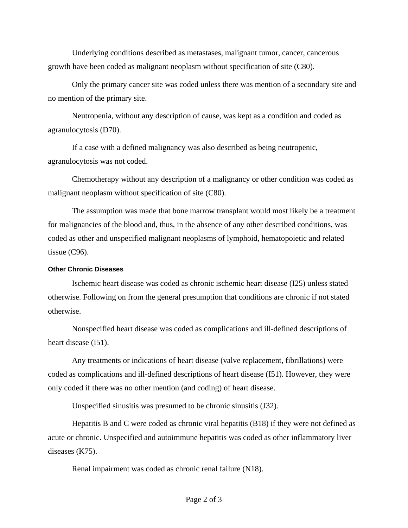Underlying conditions described as metastases, malignant tumor, cancer, cancerous growth have been coded as malignant neoplasm without specification of site (C80).

Only the primary cancer site was coded unless there was mention of a secondary site and no mention of the primary site.

Neutropenia, without any description of cause, was kept as a condition and coded as agranulocytosis (D70).

If a case with a defined malignancy was also described as being neutropenic, agranulocytosis was not coded.

Chemotherapy without any description of a malignancy or other condition was coded as malignant neoplasm without specification of site (C80).

The assumption was made that bone marrow transplant would most likely be a treatment for malignancies of the blood and, thus, in the absence of any other described conditions, was coded as other and unspecified malignant neoplasms of lymphoid, hematopoietic and related tissue (C96).

#### **Other Chronic Diseases**

Ischemic heart disease was coded as chronic ischemic heart disease (I25) unless stated otherwise. Following on from the general presumption that conditions are chronic if not stated otherwise.

Nonspecified heart disease was coded as complications and ill-defined descriptions of heart disease (I51).

Any treatments or indications of heart disease (valve replacement, fibrillations) were coded as complications and ill-defined descriptions of heart disease (I51). However, they were only coded if there was no other mention (and coding) of heart disease.

Unspecified sinusitis was presumed to be chronic sinusitis (J32).

Hepatitis B and C were coded as chronic viral hepatitis (B18) if they were not defined as acute or chronic. Unspecified and autoimmune hepatitis was coded as other inflammatory liver diseases (K75).

Renal impairment was coded as chronic renal failure (N18).